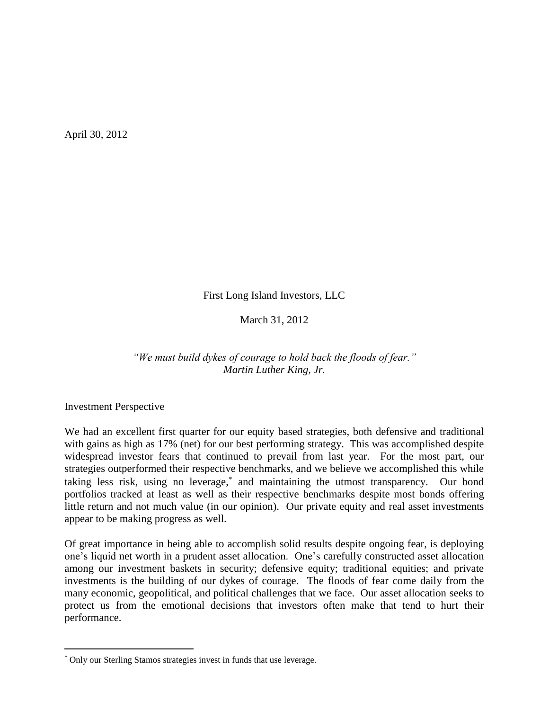April 30, 2012

First Long Island Investors, LLC

March 31, 2012

*"We must build dykes of courage to hold back the floods of fear." Martin Luther King, Jr.*

Investment Perspective

 $\overline{a}$ 

We had an excellent first quarter for our equity based strategies, both defensive and traditional with gains as high as 17% (net) for our best performing strategy. This was accomplished despite widespread investor fears that continued to prevail from last year. For the most part, our strategies outperformed their respective benchmarks, and we believe we accomplished this while taking less risk, using no leverage,<sup>\*</sup> and maintaining the utmost transparency. Our bond portfolios tracked at least as well as their respective benchmarks despite most bonds offering little return and not much value (in our opinion). Our private equity and real asset investments appear to be making progress as well.

Of great importance in being able to accomplish solid results despite ongoing fear, is deploying one's liquid net worth in a prudent asset allocation. One's carefully constructed asset allocation among our investment baskets in security; defensive equity; traditional equities; and private investments is the building of our dykes of courage. The floods of fear come daily from the many economic, geopolitical, and political challenges that we face. Our asset allocation seeks to protect us from the emotional decisions that investors often make that tend to hurt their performance.

Only our Sterling Stamos strategies invest in funds that use leverage.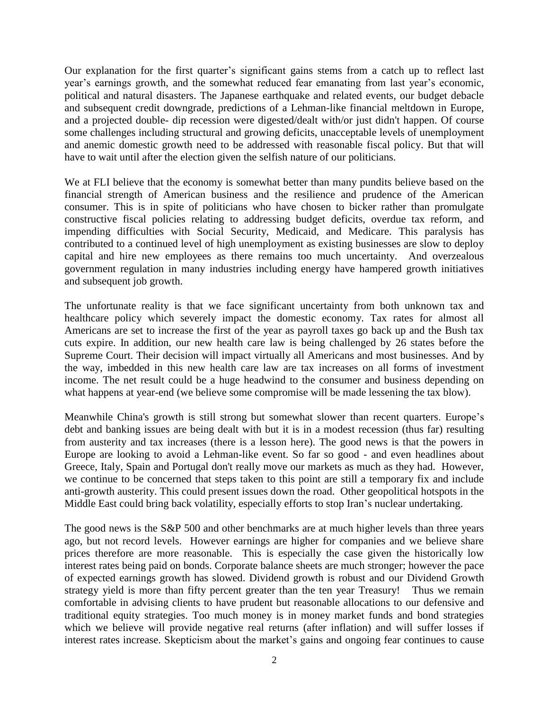Our explanation for the first quarter's significant gains stems from a catch up to reflect last year's earnings growth, and the somewhat reduced fear emanating from last year's economic, political and natural disasters. The Japanese earthquake and related events, our budget debacle and subsequent credit downgrade, predictions of a Lehman-like financial meltdown in Europe, and a projected double- dip recession were digested/dealt with/or just didn't happen. Of course some challenges including structural and growing deficits, unacceptable levels of unemployment and anemic domestic growth need to be addressed with reasonable fiscal policy. But that will have to wait until after the election given the selfish nature of our politicians.

We at FLI believe that the economy is somewhat better than many pundits believe based on the financial strength of American business and the resilience and prudence of the American consumer. This is in spite of politicians who have chosen to bicker rather than promulgate constructive fiscal policies relating to addressing budget deficits, overdue tax reform, and impending difficulties with Social Security, Medicaid, and Medicare. This paralysis has contributed to a continued level of high unemployment as existing businesses are slow to deploy capital and hire new employees as there remains too much uncertainty. And overzealous government regulation in many industries including energy have hampered growth initiatives and subsequent job growth.

The unfortunate reality is that we face significant uncertainty from both unknown tax and healthcare policy which severely impact the domestic economy. Tax rates for almost all Americans are set to increase the first of the year as payroll taxes go back up and the Bush tax cuts expire. In addition, our new health care law is being challenged by 26 states before the Supreme Court. Their decision will impact virtually all Americans and most businesses. And by the way, imbedded in this new health care law are tax increases on all forms of investment income. The net result could be a huge headwind to the consumer and business depending on what happens at year-end (we believe some compromise will be made lessening the tax blow).

Meanwhile China's growth is still strong but somewhat slower than recent quarters. Europe's debt and banking issues are being dealt with but it is in a modest recession (thus far) resulting from austerity and tax increases (there is a lesson here). The good news is that the powers in Europe are looking to avoid a Lehman-like event. So far so good - and even headlines about Greece, Italy, Spain and Portugal don't really move our markets as much as they had. However, we continue to be concerned that steps taken to this point are still a temporary fix and include anti-growth austerity. This could present issues down the road. Other geopolitical hotspots in the Middle East could bring back volatility, especially efforts to stop Iran's nuclear undertaking.

The good news is the S&P 500 and other benchmarks are at much higher levels than three years ago, but not record levels. However earnings are higher for companies and we believe share prices therefore are more reasonable. This is especially the case given the historically low interest rates being paid on bonds. Corporate balance sheets are much stronger; however the pace of expected earnings growth has slowed. Dividend growth is robust and our Dividend Growth strategy yield is more than fifty percent greater than the ten year Treasury! Thus we remain comfortable in advising clients to have prudent but reasonable allocations to our defensive and traditional equity strategies. Too much money is in money market funds and bond strategies which we believe will provide negative real returns (after inflation) and will suffer losses if interest rates increase. Skepticism about the market's gains and ongoing fear continues to cause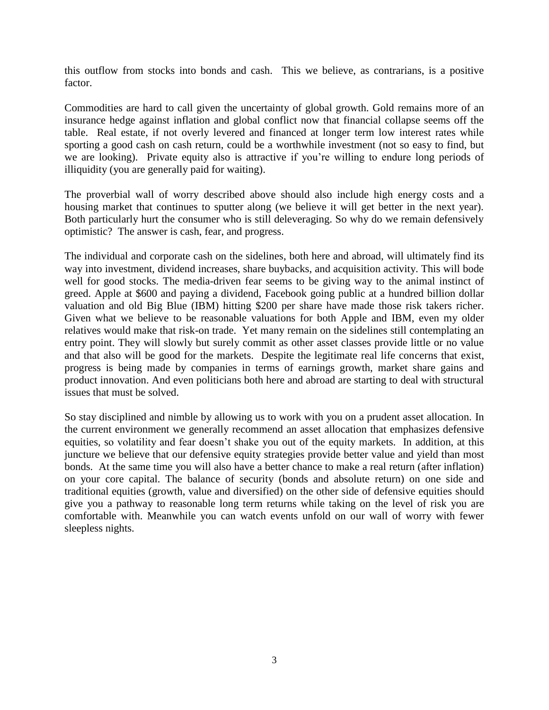this outflow from stocks into bonds and cash. This we believe, as contrarians, is a positive factor.

Commodities are hard to call given the uncertainty of global growth. Gold remains more of an insurance hedge against inflation and global conflict now that financial collapse seems off the table. Real estate, if not overly levered and financed at longer term low interest rates while sporting a good cash on cash return, could be a worthwhile investment (not so easy to find, but we are looking). Private equity also is attractive if you're willing to endure long periods of illiquidity (you are generally paid for waiting).

The proverbial wall of worry described above should also include high energy costs and a housing market that continues to sputter along (we believe it will get better in the next year). Both particularly hurt the consumer who is still deleveraging. So why do we remain defensively optimistic? The answer is cash, fear, and progress.

The individual and corporate cash on the sidelines, both here and abroad, will ultimately find its way into investment, dividend increases, share buybacks, and acquisition activity. This will bode well for good stocks. The media-driven fear seems to be giving way to the animal instinct of greed. Apple at \$600 and paying a dividend, Facebook going public at a hundred billion dollar valuation and old Big Blue (IBM) hitting \$200 per share have made those risk takers richer. Given what we believe to be reasonable valuations for both Apple and IBM, even my older relatives would make that risk-on trade. Yet many remain on the sidelines still contemplating an entry point. They will slowly but surely commit as other asset classes provide little or no value and that also will be good for the markets. Despite the legitimate real life concerns that exist, progress is being made by companies in terms of earnings growth, market share gains and product innovation. And even politicians both here and abroad are starting to deal with structural issues that must be solved.

So stay disciplined and nimble by allowing us to work with you on a prudent asset allocation. In the current environment we generally recommend an asset allocation that emphasizes defensive equities, so volatility and fear doesn't shake you out of the equity markets. In addition, at this juncture we believe that our defensive equity strategies provide better value and yield than most bonds. At the same time you will also have a better chance to make a real return (after inflation) on your core capital. The balance of security (bonds and absolute return) on one side and traditional equities (growth, value and diversified) on the other side of defensive equities should give you a pathway to reasonable long term returns while taking on the level of risk you are comfortable with. Meanwhile you can watch events unfold on our wall of worry with fewer sleepless nights.